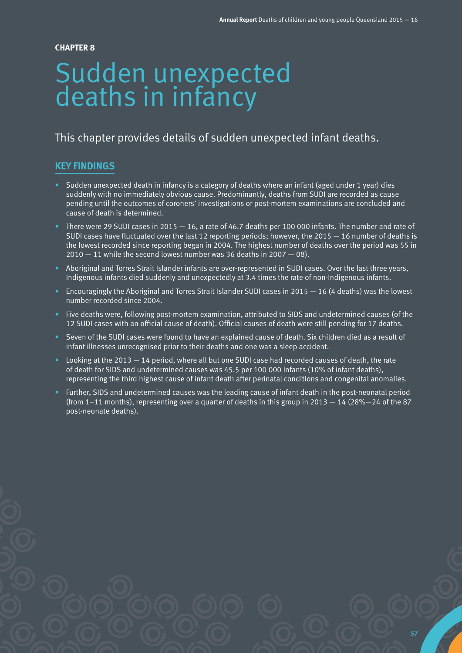**57**

#### **CHAPTER 8**

# Sudden unexpected deaths in infancy

# This chapter provides details of sudden unexpected infant deaths.

# **KEY FINDINGS**

- Sudden unexpected death in infancy is a category of deaths where an infant (aged under 1 year) dies suddenly with no immediately obvious cause. Predominantly, deaths from SUDI are recorded as cause pending until the outcomes of coroners' investigations or post-mortem examinations are concluded and cause of death is determined.
- There were 29 SUDI cases in 2015  $-16$ , a rate of 46.7 deaths per 100 000 infants. The number and rate of SUDI cases have fluctuated over the last 12 reporting periods; however, the 2015  $-$  16 number of deaths is the lowest recorded since reporting began in 2004. The highest number of deaths over the period was 55 in  $2010 - 11$  while the second lowest number was 36 deaths in 2007  $-$  08).
- Aboriginal and Torres Strait Islander infants are over-represented in SUDI cases. Over the last three years, Indigenous infants died suddenly and unexpectedly at 3.4 times the rate of non-Indigenous infants.
- Encouragingly the Aboriginal and Torres Strait Islander SUDI cases in 2015 16 (4 deaths) was the lowest number recorded since 2004.
- Five deaths were, following post-mortem examination, attributed to SIDS and undetermined causes (of the 12 SUDI cases with an official cause of death). Official causes of death were still pending for 17 deaths.
- Seven of the SUDI cases were found to have an explained cause of death. Six children died as a result of infant illnesses unrecognised prior to their deaths and one was a sleep accident.
- Looking at the 2013 14 period, where all but one SUDI case had recorded causes of death, the rate of death for SIDS and undetermined causes was 45.5 per 100 000 infants (10% of infant deaths), representing the third highest cause of infant death after perinatal conditions and congenital anomalies.
- Further, SIDS and undetermined causes was the leading cause of infant death in the post-neonatal period (from  $1-11$  months), representing over a quarter of deaths in this group in  $2013 - 14$  (28% $-24$  of the 87 post-neonate deaths).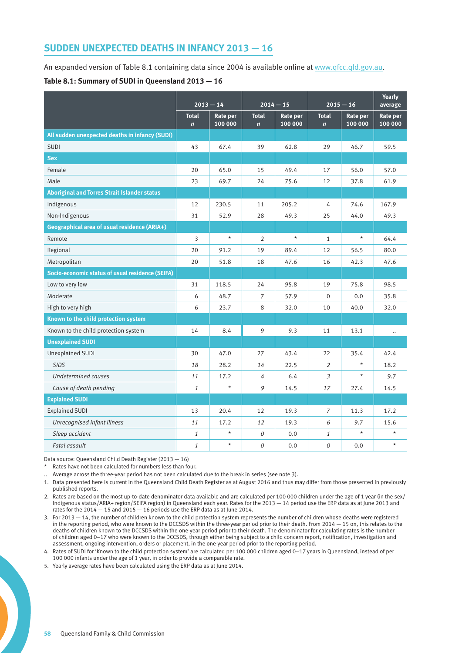# **SUDDEN UNEXPECTED DEATHS IN INFANCY 2013 — 16**

An expanded version of Table 8.1 containing data since 2004 is available online at [www.qfcc.qld.gov.au](http://www.qfcc.qld.gov.au).

#### **Table 8.1: Summary of SUDI in Queensland 2013 — 16**

|                                                     | $2013 - 14$                 |                     | $2014 - 15$                 |                     | $2015 - 16$                 |                     | Yearly<br>average   |
|-----------------------------------------------------|-----------------------------|---------------------|-----------------------------|---------------------|-----------------------------|---------------------|---------------------|
|                                                     | <b>Total</b><br>$\mathbf n$ | Rate per<br>100 000 | <b>Total</b><br>$\mathbf n$ | Rate per<br>100 000 | <b>Total</b><br>$\mathbf n$ | Rate per<br>100 000 | Rate per<br>100 000 |
| All sudden unexpected deaths in infancy (SUDI)      |                             |                     |                             |                     |                             |                     |                     |
| <b>SUDI</b>                                         | 43                          | 67.4                | 39                          | 62.8                | 29                          | 46.7                | 59.5                |
| <b>Sex</b>                                          |                             |                     |                             |                     |                             |                     |                     |
| Female                                              | 20                          | 65.0                | 15                          | 49.4                | 17                          | 56.0                | 57.0                |
| Male                                                | 23                          | 69.7                | 24                          | 75.6                | 12                          | 37.8                | 61.9                |
| <b>Aboriginal and Torres Strait Islander status</b> |                             |                     |                             |                     |                             |                     |                     |
| Indigenous                                          | 12                          | 230.5               | 11                          | 205.2               | 4                           | 74.6                | 167.9               |
| Non-Indigenous                                      | 31                          | 52.9                | 28                          | 49.3                | 25                          | 44.0                | 49.3                |
| Geographical area of usual residence (ARIA+)        |                             |                     |                             |                     |                             |                     |                     |
| Remote                                              | 3                           | $\star$             | $\overline{2}$              | $\star$             | $\mathbf{1}$                | $\star$             | 64.4                |
| Regional                                            | 20                          | 91.2                | 19                          | 89.4                | 12                          | 56.5                | 80.0                |
| Metropolitan                                        | 20                          | 51.8                | 18                          | 47.6                | 16                          | 42.3                | 47.6                |
| Socio-economic status of usual residence (SEIFA)    |                             |                     |                             |                     |                             |                     |                     |
| Low to very low                                     | 31                          | 118.5               | 24                          | 95.8                | 19                          | 75.8                | 98.5                |
| Moderate                                            | 6                           | 48.7                | $\overline{7}$              | 57.9                | $\mathbf{0}$                | 0.0                 | 35.8                |
| High to very high                                   | 6                           | 23.7                | 8                           | 32.0                | 10                          | 40.0                | 32.0                |
| Known to the child protection system                |                             |                     |                             |                     |                             |                     |                     |
| Known to the child protection system                | 14                          | 8.4                 | 9                           | 9.3                 | 11                          | 13.1                |                     |
| <b>Unexplained SUDI</b>                             |                             |                     |                             |                     |                             |                     |                     |
| Unexplained SUDI                                    | 30                          | 47.0                | 27                          | 43.4                | 22                          | 35.4                | 42.4                |
| <b>SIDS</b>                                         | 18                          | 28.2                | 14                          | 22.5                | $\overline{2}$              | $\star$             | 18.2                |
| <b>Undetermined causes</b>                          | 11                          | 17.2                | $\overline{4}$              | 6.4                 | 3                           | $\star$             | 9.7                 |
| Cause of death pending                              | $\mathbf{1}$                | $\star$             | 9                           | 14.5                | 17                          | 27.4                | 14.5                |
| <b>Explained SUDI</b>                               |                             |                     |                             |                     |                             |                     |                     |
| <b>Explained SUDI</b>                               | 13                          | 20.4                | 12                          | 19.3                | $\overline{7}$              | 11.3                | 17.2                |
| Unrecognised infant illness                         | 11                          | 17.2                | 12                          | 19.3                | 6                           | 9.7                 | 15.6                |
| Sleep accident                                      | 1                           | $\star$             | 0                           | 0.0                 | $\mathbf{1}$                | $\star$             |                     |
| Fatal assault                                       | 1                           | $\star$             | 0                           | 0.0                 | 0                           | 0.0                 | $\star$             |

Data source: Queensland Child Death Register (2013 — 16)

Rates have not been calculated for numbers less than four.

.. Average across the three-year period has not been calculated due to the break in series (see note 3).

1. Data presented here is current in the Queensland Child Death Register as at August 2016 and thus may differ from those presented in previously published reports.

2. Rates are based on the most up-to-date denominator data available and are calculated per 100 000 children under the age of 1 year (in the sex/ Indigenous status/ARIA+ region/SEIFA region) in Queensland each year. Rates for the 2013 — 14 period use the ERP data as at June 2013 and rates for the  $2014 - 15$  and  $2015 - 16$  periods use the ERP data as at June 2014.

3. For 2013 — 14, the number of children known to the child protection system represents the number of children whose deaths were registered in the reporting period, who were known to the DCCSDS within the three-year period prior to their death. From 2014 — 15 on, this relates to the deaths of children known to the DCCSDS within the one-year period prior to their death. The denominator for calculating rates is the number of children aged 0–17 who were known to the DCCSDS, through either being subject to a child concern report, notification, investigation and assessment, ongoing intervention, orders or placement, in the one-year period prior to the reporting period.

4. Rates of SUDI for 'Known to the child protection system' are calculated per 100 000 children aged 0–17 years in Queensland, instead of per 100 000 infants under the age of 1 year, in order to provide a comparable rate.

5. Yearly average rates have been calculated using the ERP data as at June 2014.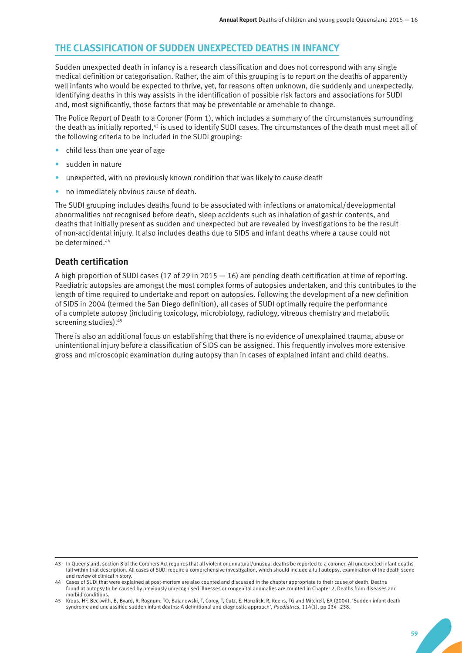## **THE CLASSIFICATION OF SUDDEN UNEXPECTED DEATHS IN INFANCY**

Sudden unexpected death in infancy is a research classification and does not correspond with any single medical definition or categorisation. Rather, the aim of this grouping is to report on the deaths of apparently well infants who would be expected to thrive, yet, for reasons often unknown, die suddenly and unexpectedly. Identifying deaths in this way assists in the identification of possible risk factors and associations for SUDI and, most significantly, those factors that may be preventable or amenable to change.

The Police Report of Death to a Coroner (Form 1), which includes a summary of the circumstances surrounding the death as initially reported,<sup>43</sup> is used to identify SUDI cases. The circumstances of the death must meet all of the following criteria to be included in the SUDI grouping:

- child less than one year of age
- sudden in nature
- unexpected, with no previously known condition that was likely to cause death
- no immediately obvious cause of death.

The SUDI grouping includes deaths found to be associated with infections or anatomical/developmental abnormalities not recognised before death, sleep accidents such as inhalation of gastric contents, and deaths that initially present as sudden and unexpected but are revealed by investigations to be the result of non-accidental injury. It also includes deaths due to SIDS and infant deaths where a cause could not be determined.44

#### **Death certification**

A high proportion of SUDI cases (17 of 29 in 2015  $-16$ ) are pending death certification at time of reporting. Paediatric autopsies are amongst the most complex forms of autopsies undertaken, and this contributes to the length of time required to undertake and report on autopsies. Following the development of a new definition of SIDS in 2004 (termed the San Diego definition), all cases of SUDI optimally require the performance of a complete autopsy (including toxicology, microbiology, radiology, vitreous chemistry and metabolic screening studies).<sup>45</sup>

There is also an additional focus on establishing that there is no evidence of unexplained trauma, abuse or unintentional injury before a classification of SIDS can be assigned. This frequently involves more extensive gross and microscopic examination during autopsy than in cases of explained infant and child deaths.

<sup>43</sup> In Queensland, section 8 of the Coroners Act requires that all violent or unnatural/unusual deaths be reported to a coroner. All unexpected infant deaths fall within that description. All cases of SUDI require a comprehensive investigation, which should include a full autopsy, examination of the death scene and review of clinical history.

<sup>44</sup> Cases of SUDI that were explained at post-mortem are also counted and discussed in the chapter appropriate to their cause of death. Deaths found at autopsy to be caused by previously unrecognised illnesses or congenital anomalies are counted in Chapter 2, Deaths from diseases and morbid conditions.

<sup>45</sup> Krous, HF, Beckwith, B, Byard, R, Rognum, TO, Bajanowski, T, Corey, T, Cutz, E, Hanzlick, R, Keens, TG and Mitchell, EA (2004). 'Sudden infant death syndrome and unclassified sudden infant deaths: A definitional and diagnostic approach', *Paediatrics*, 114(1), pp 234–238.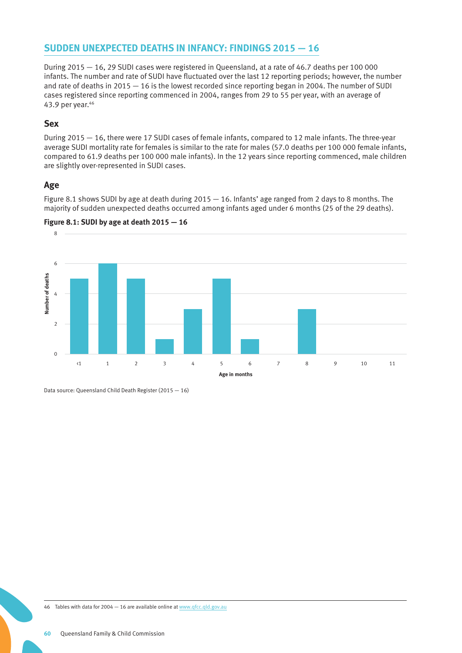# **SUDDEN UNEXPECTED DEATHS IN INFANCY: FINDINGS 2015 — 16**

During 2015 — 16, 29 SUDI cases were registered in Queensland, at a rate of 46.7 deaths per 100 000 infants. The number and rate of SUDI have fluctuated over the last 12 reporting periods; however, the number and rate of deaths in 2015 — 16 is the lowest recorded since reporting began in 2004. The number of SUDI cases registered since reporting commenced in 2004, ranges from 29 to 55 per year, with an average of 43.9 per year.46

### **Sex**

During 2015 — 16, there were 17 SUDI cases of female infants, compared to 12 male infants. The three-year average SUDI mortality rate for females is similar to the rate for males (57.0 deaths per 100 000 female infants, compared to 61.9 deaths per 100 000 male infants). In the 12 years since reporting commenced, male children are slightly over-represented in SUDI cases.

## **Age**

Figure 8.1 shows SUDI by age at death during 2015 — 16. Infants' age ranged from 2 days to 8 months. The majority of sudden unexpected deaths occurred among infants aged under 6 months (25 of the 29 deaths).





Data source: Queensland Child Death Register (2015 — 16)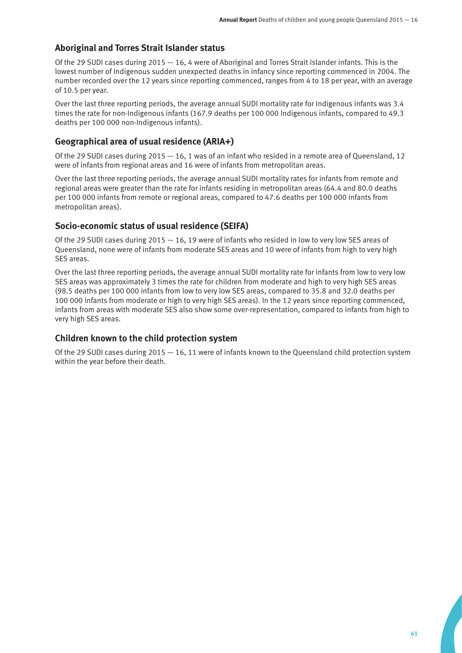## **Aboriginal and Torres Strait Islander status**

Of the 29 SUDI cases during  $2015 - 16$ , 4 were of Aboriginal and Torres Strait Islander infants. This is the lowest number of Indigenous sudden unexpected deaths in infancy since reporting commenced in 2004. The number recorded over the 12 years since reporting commenced, ranges from 4 to 18 per year, with an average of 10.5 per year.

Over the last three reporting periods, the average annual SUDI mortality rate for Indigenous infants was 3.4 times the rate for non-Indigenous infants (167.9 deaths per 100 000 Indigenous infants, compared to 49.3 deaths per 100 000 non-Indigenous infants).

## **Geographical area of usual residence (ARIA+)**

Of the 29 SUDI cases during  $2015 - 16$ , 1 was of an infant who resided in a remote area of Queensland, 12 were of infants from regional areas and 16 were of infants from metropolitan areas.

Over the last three reporting periods, the average annual SUDI mortality rates for infants from remote and regional areas were greater than the rate for infants residing in metropolitan areas (64.4 and 80.0 deaths per 100 000 infants from remote or regional areas, compared to 47.6 deaths per 100 000 infants from metropolitan areas).

#### **Socio-economic status of usual residence (SEIFA)**

Of the 29 SUDI cases during  $2015 - 16$ , 19 were of infants who resided in low to very low SES areas of Queensland, none were of infants from moderate SES areas and 10 were of infants from high to very high SES areas.

Over the last three reporting periods, the average annual SUDI mortality rate for infants from low to very low SES areas was approximately 3 times the rate for children from moderate and high to very high SES areas (98.5 deaths per 100 000 infants from low to very low SES areas, compared to 35.8 and 32.0 deaths per 100 000 infants from moderate or high to very high SES areas). In the 12 years since reporting commenced, infants from areas with moderate SES also show some over-representation, compared to infants from high to very high SES areas.

## **Children known to the child protection system**

Of the 29 SUDI cases during  $2015 - 16$ , 11 were of infants known to the Queensland child protection system within the year before their death.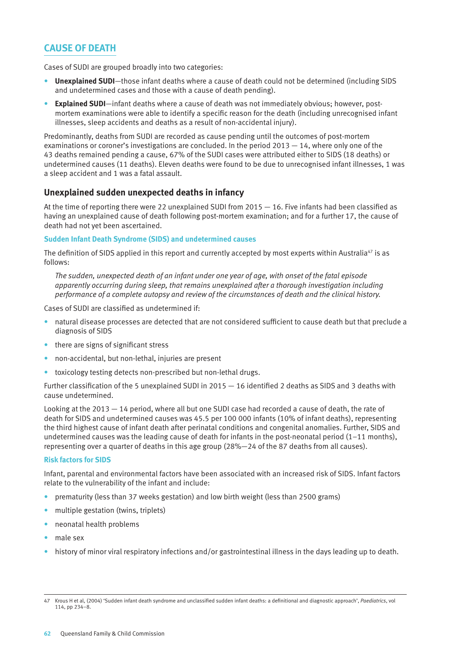# **CAUSE OF DEATH**

Cases of SUDI are grouped broadly into two categories:

- **Unexplained SUDI**—those infant deaths where a cause of death could not be determined (including SIDS and undetermined cases and those with a cause of death pending).
- **Explained SUDI**—infant deaths where a cause of death was not immediately obvious; however, postmortem examinations were able to identify a specific reason for the death (including unrecognised infant illnesses, sleep accidents and deaths as a result of non-accidental injury).

Predominantly, deaths from SUDI are recorded as cause pending until the outcomes of post-mortem examinations or coroner's investigations are concluded. In the period  $2013 - 14$ , where only one of the 43 deaths remained pending a cause, 67% of the SUDI cases were attributed either to SIDS (18 deaths) or undetermined causes (11 deaths). Eleven deaths were found to be due to unrecognised infant illnesses, 1 was a sleep accident and 1 was a fatal assault.

#### **Unexplained sudden unexpected deaths in infancy**

At the time of reporting there were 22 unexplained SUDI from 2015 — 16. Five infants had been classified as having an unexplained cause of death following post-mortem examination; and for a further 17, the cause of death had not yet been ascertained.

#### **Sudden Infant Death Syndrome (SIDS) and undetermined causes**

The definition of SIDS applied in this report and currently accepted by most experts within Australia<sup>47</sup> is as follows:

*The sudden, unexpected death of an infant under one year of age, with onset of the fatal episode apparently occurring during sleep, that remains unexplained after a thorough investigation including performance of a complete autopsy and review of the circumstances of death and the clinical history.*

Cases of SUDI are classified as undetermined if:

- natural disease processes are detected that are not considered sufficient to cause death but that preclude a diagnosis of SIDS
- there are signs of significant stress
- non-accidental, but non-lethal, injuries are present
- toxicology testing detects non-prescribed but non-lethal drugs.

Further classification of the 5 unexplained SUDI in 2015 — 16 identified 2 deaths as SIDS and 3 deaths with cause undetermined.

Looking at the 2013 — 14 period, where all but one SUDI case had recorded a cause of death, the rate of death for SIDS and undetermined causes was 45.5 per 100 000 infants (10% of infant deaths), representing the third highest cause of infant death after perinatal conditions and congenital anomalies. Further, SIDS and undetermined causes was the leading cause of death for infants in the post-neonatal period  $(1-11$  months), representing over a quarter of deaths in this age group (28%—24 of the 87 deaths from all causes).

#### **Risk factors for SIDS**

Infant, parental and environmental factors have been associated with an increased risk of SIDS. Infant factors relate to the vulnerability of the infant and include:

- prematurity (less than 37 weeks gestation) and low birth weight (less than 2500 grams)
- multiple gestation (twins, triplets)
- neonatal health problems
- male sex
- history of minor viral respiratory infections and/or gastrointestinal illness in the days leading up to death.

<sup>47</sup> Krous H et al, (2004) 'Sudden infant death syndrome and unclassified sudden infant deaths: a definitional and diagnostic approach', *Paediatrics*, vol 114, pp 234–8.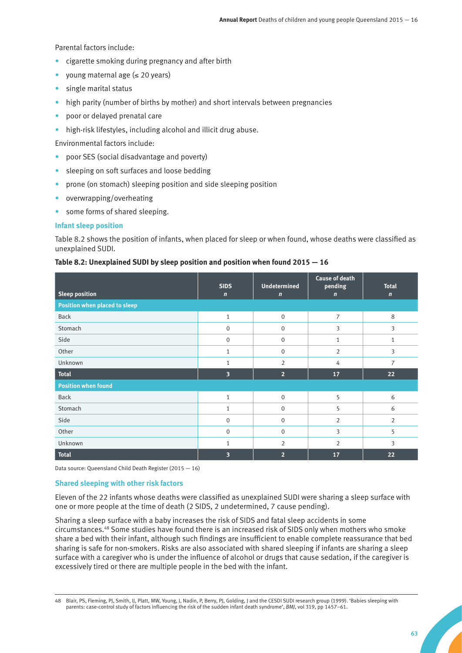Parental factors include:

- cigarette smoking during pregnancy and after birth
- young maternal age (≤ 20 years)
- single marital status
- high parity (number of births by mother) and short intervals between pregnancies
- poor or delayed prenatal care
- high-risk lifestyles, including alcohol and illicit drug abuse.

Environmental factors include:

- poor SES (social disadvantage and poverty)
- sleeping on soft surfaces and loose bedding
- prone (on stomach) sleeping position and side sleeping position
- overwrapping/overheating
- some forms of shared sleeping.

#### **Infant sleep position**

Table 8.2 shows the position of infants, when placed for sleep or when found, whose deaths were classified as unexplained SUDI.

#### **Table 8.2: Unexplained SUDI by sleep position and position when found 2015 — 16**

|                               | <b>SIDS</b>             | <b>Undetermined</b> | <b>Cause of death</b><br>pending | <b>Total</b>   |
|-------------------------------|-------------------------|---------------------|----------------------------------|----------------|
| <b>Sleep position</b>         | $\mathbf n$             | $\mathbf n$         | $\mathbf n$                      | $\mathbf n$    |
| Position when placed to sleep |                         |                     |                                  |                |
| <b>Back</b>                   | $\mathbf{1}$            | $\mathbf 0$         | $\overline{7}$                   | 8              |
| Stomach                       | $\mathbf{0}$            | $\mathbf{0}$        | 3                                | 3              |
| Side                          | $\mathbf 0$             | $\mathbf{0}$        | 1                                | 1              |
| Other                         | $\mathbf{1}$            | $\mathbf{0}$        | $\overline{2}$                   | 3              |
| Unknown                       | 1                       | 2                   | 4                                | $\overline{7}$ |
| <b>Total</b>                  | $\overline{\mathbf{3}}$ | 2 <sup>1</sup>      | 17                               | 22             |
| <b>Position when found</b>    |                         |                     |                                  |                |
| <b>Back</b>                   | $\mathbf{1}$            | $\mathbf{0}$        | 5                                | 6              |
| Stomach                       | $\mathbf{1}$            | $\mathbf{0}$        | 5                                | 6              |
| Side                          | $\mathbf{0}$            | $\mathbf{0}$        | $\overline{2}$                   | $\overline{2}$ |
| Other                         | $\mathbf{0}$            | 0                   | 3                                | 5              |
| Unknown                       | $\mathbf{1}$            | 2                   | $\overline{2}$                   | 3              |
| <b>Total</b>                  | 3                       | $\overline{2}$      | 17                               | 22             |

Data source: Queensland Child Death Register (2015 — 16)

#### **Shared sleeping with other risk factors**

Eleven of the 22 infants whose deaths were classified as unexplained SUDI were sharing a sleep surface with one or more people at the time of death (2 SIDS, 2 undetermined, 7 cause pending).

Sharing a sleep surface with a baby increases the risk of SIDS and fatal sleep accidents in some circumstances.48 Some studies have found there is an increased risk of SIDS only when mothers who smoke share a bed with their infant, although such findings are insufficient to enable complete reassurance that bed sharing is safe for non-smokers. Risks are also associated with shared sleeping if infants are sharing a sleep surface with a caregiver who is under the influence of alcohol or drugs that cause sedation, if the caregiver is excessively tired or there are multiple people in the bed with the infant.

<sup>48</sup> Blair, PS, Fleming, PJ, Smith, IJ, Platt, MW, Young, J, Nadin, P, Berry, PJ, Golding, J and the CESDI SUDI research group (1999). 'Babies sleeping with parents: case-control study of factors influencing the risk of the sudden infant death syndrome', *BMJ*, vol 319, pp 1457–61.